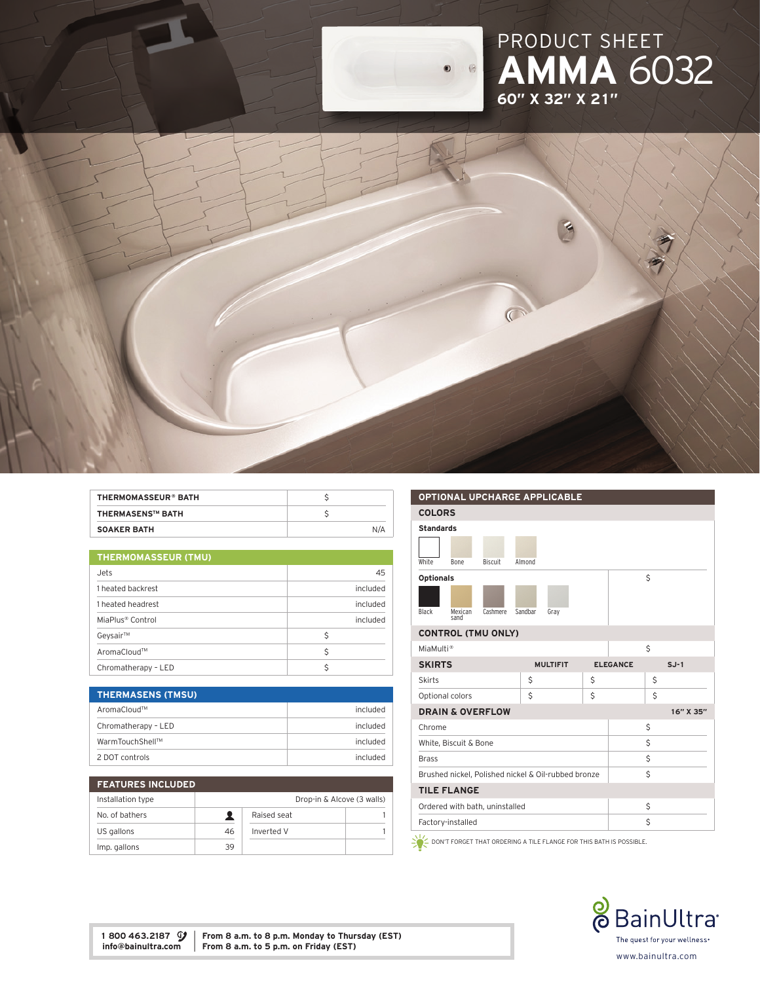## PRODUCT SHE AMMA 6032 60" x 32" x 21"



| THERMOMASSEUR® BATH     |     |
|-------------------------|-----|
| <b>THERMASENS™ BATH</b> |     |
| <b>SOAKER BATH</b>      | N/A |

| <b>THERMOMASSEUR (TMU)</b>   |          |  |
|------------------------------|----------|--|
| Jets                         | 45       |  |
| 1 heated backrest            | included |  |
| 1 heated headrest            | included |  |
| MiaPlus <sup>®</sup> Control | included |  |
| Geysair™                     | Ŝ        |  |
| AromaCloud™                  | Ŝ        |  |
| Chromatherapy - LED          |          |  |

| <b>THERMASENS (TMSU)</b> |          |
|--------------------------|----------|
| AromaCloud™              | included |
| Chromatherapy - LED      | included |
| WarmTouchShell™          | included |
| 2 DOT controls           | included |

| <b>FEATURES INCLUDED</b> |    |             |                            |
|--------------------------|----|-------------|----------------------------|
| Installation type        |    |             | Drop-in & Alcove (3 walls) |
| No. of bathers           |    | Raised seat |                            |
| US gallons               | 46 | Inverted V  |                            |
| Imp. gallons             | 39 |             |                            |

| <b>COLORS</b><br><b>Standards</b>                             |           |  |  |
|---------------------------------------------------------------|-----------|--|--|
|                                                               |           |  |  |
|                                                               |           |  |  |
|                                                               |           |  |  |
| White<br>Biscuit<br>Almond<br>Bone                            |           |  |  |
| \$<br><b>Optionals</b>                                        |           |  |  |
|                                                               |           |  |  |
| Black<br>Cashmere<br>Sandbar<br>Mexican<br>Gray<br>sand       |           |  |  |
| <b>CONTROL (TMU ONLY)</b>                                     |           |  |  |
| \$<br>MiaMulti <sup>®</sup>                                   |           |  |  |
| <b>SKIRTS</b><br><b>MULTIFIT</b><br><b>ELEGANCE</b><br>$SJ-1$ |           |  |  |
| \$<br>\$<br>\$<br><b>Skirts</b>                               |           |  |  |
| Ś<br>\$<br>Ś<br>Optional colors                               |           |  |  |
| <b>DRAIN &amp; OVERFLOW</b>                                   | 16" X 35" |  |  |
| \$<br>Chrome                                                  |           |  |  |
| Ś<br>White, Biscuit & Bone                                    |           |  |  |
| \$<br><b>Brass</b>                                            |           |  |  |
| \$<br>Brushed nickel, Polished nickel & Oil-rubbed bronze     |           |  |  |
| <b>TILE FLANGE</b>                                            |           |  |  |
| \$<br>Ordered with bath, uninstalled                          |           |  |  |
| \$<br>Factory-installed                                       |           |  |  |

 $\sum_{n=1}^{\infty}$  DON'T FORGET THAT ORDERING A TILE FLANGE FOR THIS BATH IS POSSIBLE.



1 800 463.2187  $\mathcal{G}$  | From 8 a.m. to 8 p.m. Monday to Thursday (EST) info@bainultra.com | From 8 a.m. to 5 p.m. on Friday (EST)